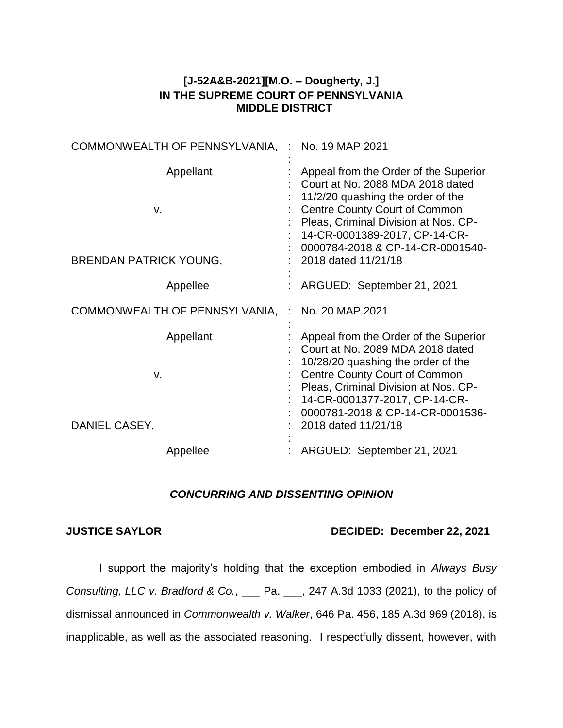## **[J-52A&B-2021][M.O. – Dougherty, J.] IN THE SUPREME COURT OF PENNSYLVANIA MIDDLE DISTRICT**

| COMMONWEALTH OF PENNSYLVANIA, : No. 19 MAP 2021 |                                                                                                                                                                                                                                                                      |
|-------------------------------------------------|----------------------------------------------------------------------------------------------------------------------------------------------------------------------------------------------------------------------------------------------------------------------|
| Appellant<br>V.                                 | Appeal from the Order of the Superior<br>Court at No. 2088 MDA 2018 dated<br>11/2/20 quashing the order of the<br><b>Centre County Court of Common</b><br>Pleas, Criminal Division at Nos. CP-<br>14-CR-0001389-2017, CP-14-CR-<br>0000784-2018 & CP-14-CR-0001540-  |
| <b>BRENDAN PATRICK YOUNG,</b>                   | 2018 dated 11/21/18                                                                                                                                                                                                                                                  |
| Appellee                                        | ARGUED: September 21, 2021                                                                                                                                                                                                                                           |
| COMMONWEALTH OF PENNSYLVANIA, : No. 20 MAP 2021 |                                                                                                                                                                                                                                                                      |
| Appellant<br>v.                                 | Appeal from the Order of the Superior<br>Court at No. 2089 MDA 2018 dated<br>10/28/20 quashing the order of the<br><b>Centre County Court of Common</b><br>Pleas, Criminal Division at Nos. CP-<br>14-CR-0001377-2017, CP-14-CR-<br>0000781-2018 & CP-14-CR-0001536- |
| DANIEL CASEY,                                   | 2018 dated 11/21/18                                                                                                                                                                                                                                                  |

## *CONCURRING AND DISSENTING OPINION*

## **JUSTICE SAYLOR DECIDED: December 22, 2021**

I support the majority's holding that the exception embodied in *Always Busy Consulting, LLC v. Bradford & Co.*, \_\_\_ Pa. \_\_\_, 247 A.3d 1033 (2021), to the policy of dismissal announced in *Commonwealth v. Walker*, 646 Pa. 456, 185 A.3d 969 (2018), is inapplicable, as well as the associated reasoning. I respectfully dissent, however, with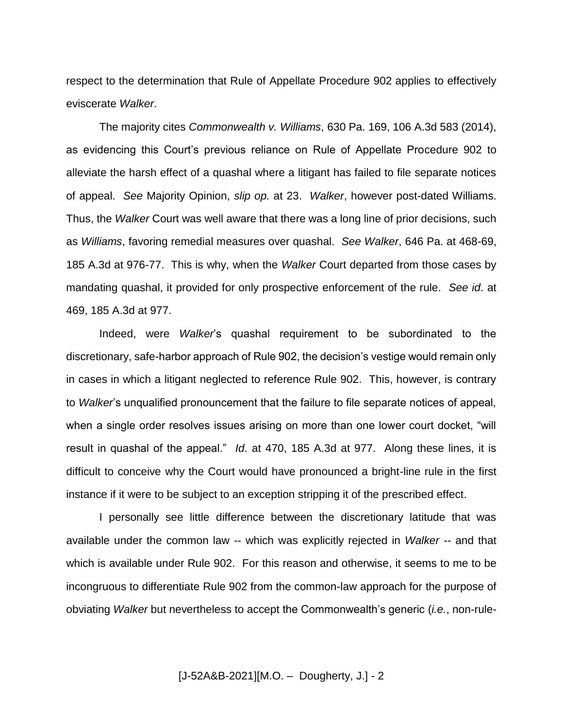respect to the determination that Rule of Appellate Procedure 902 applies to effectively eviscerate *Walker*.

The majority cites *Commonwealth v. Williams*, 630 Pa. 169, 106 A.3d 583 (2014), as evidencing this Court's previous reliance on Rule of Appellate Procedure 902 to alleviate the harsh effect of a quashal where a litigant has failed to file separate notices of appeal. *See* Majority Opinion, *slip op.* at 23. *Walker*, however post-dated Williams. Thus, the *Walker* Court was well aware that there was a long line of prior decisions, such as *Williams*, favoring remedial measures over quashal. *See Walker*, 646 Pa. at 468-69, 185 A.3d at 976-77. This is why, when the *Walker* Court departed from those cases by mandating quashal, it provided for only prospective enforcement of the rule. *See id*. at 469, 185 A.3d at 977.

Indeed, were *Walker*'s quashal requirement to be subordinated to the discretionary, safe-harbor approach of Rule 902, the decision's vestige would remain only in cases in which a litigant neglected to reference Rule 902. This, however, is contrary to *Walker*'s unqualified pronouncement that the failure to file separate notices of appeal, when a single order resolves issues arising on more than one lower court docket, "will result in quashal of the appeal." *Id*. at 470, 185 A.3d at 977. Along these lines, it is difficult to conceive why the Court would have pronounced a bright-line rule in the first instance if it were to be subject to an exception stripping it of the prescribed effect.

I personally see little difference between the discretionary latitude that was available under the common law -- which was explicitly rejected in *Walker* -- and that which is available under Rule 902. For this reason and otherwise, it seems to me to be incongruous to differentiate Rule 902 from the common-law approach for the purpose of obviating *Walker* but nevertheless to accept the Commonwealth's generic (*i.e.*, non-rule-

[J-52A&B-2021][M.O. – Dougherty, J.] - 2